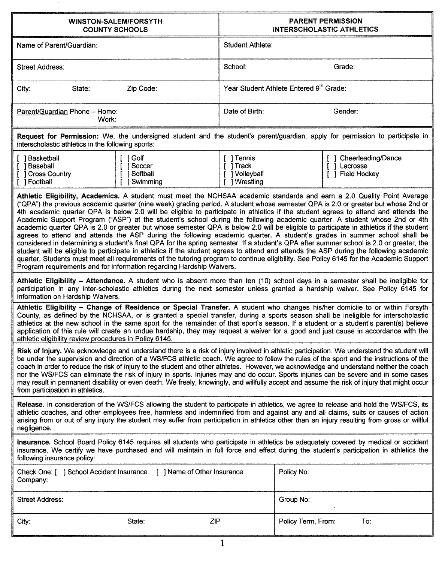| <b>WINSTON-SALEM/FORSYTH</b><br><b>COUNTY SCHOOLS</b>                                                                                                                                                                                                                                                                                                                                                                                                                                                                                                                                                                                                                                                                                                                                                                                                                                                                                                                                                                                                                                                                                                                                                                                                                                                        |                                                        | <b>PARENT PERMISSION</b><br><b>INTERSCHOLASTIC ATHLETICS</b>    |  |  |
|--------------------------------------------------------------------------------------------------------------------------------------------------------------------------------------------------------------------------------------------------------------------------------------------------------------------------------------------------------------------------------------------------------------------------------------------------------------------------------------------------------------------------------------------------------------------------------------------------------------------------------------------------------------------------------------------------------------------------------------------------------------------------------------------------------------------------------------------------------------------------------------------------------------------------------------------------------------------------------------------------------------------------------------------------------------------------------------------------------------------------------------------------------------------------------------------------------------------------------------------------------------------------------------------------------------|--------------------------------------------------------|-----------------------------------------------------------------|--|--|
| Name of Parent/Guardian:                                                                                                                                                                                                                                                                                                                                                                                                                                                                                                                                                                                                                                                                                                                                                                                                                                                                                                                                                                                                                                                                                                                                                                                                                                                                                     | Student Athlete:                                       |                                                                 |  |  |
| Street Address:                                                                                                                                                                                                                                                                                                                                                                                                                                                                                                                                                                                                                                                                                                                                                                                                                                                                                                                                                                                                                                                                                                                                                                                                                                                                                              | School:                                                | Grade:                                                          |  |  |
| Zip Code:<br>State:<br>City:                                                                                                                                                                                                                                                                                                                                                                                                                                                                                                                                                                                                                                                                                                                                                                                                                                                                                                                                                                                                                                                                                                                                                                                                                                                                                 |                                                        | Year Student Athlete Entered 9th Grade:                         |  |  |
| Parent/Guardian Phone - Home:<br>Work:                                                                                                                                                                                                                                                                                                                                                                                                                                                                                                                                                                                                                                                                                                                                                                                                                                                                                                                                                                                                                                                                                                                                                                                                                                                                       | Date of Birth:                                         | Gender:                                                         |  |  |
| Request for Permission: We, the undersigned student and the student's parent/guardian, apply for permission to participate in<br>interscholastic athletics in the following sports:                                                                                                                                                                                                                                                                                                                                                                                                                                                                                                                                                                                                                                                                                                                                                                                                                                                                                                                                                                                                                                                                                                                          |                                                        |                                                                 |  |  |
| [ ] Basketball<br>[ 1 Golf<br>[ ] Soccer<br>[ ] Baseball<br>] Softball<br>[ ] Cross Country<br>[ ] Football<br><b>Swimming</b>                                                                                                                                                                                                                                                                                                                                                                                                                                                                                                                                                                                                                                                                                                                                                                                                                                                                                                                                                                                                                                                                                                                                                                               | [ ] Tennis<br>[ ] Track<br>] Volleyball<br>J Wrestling | Cheerleading/Dance<br>Lacrosse<br>1<br><b>Field Hockey</b><br>1 |  |  |
| Athletic Eligibility, Academics. A student must meet the NCHSAA academic standards and earn a 2.0 Quality Point Average<br>("QPA") the previous academic quarter (nine week) grading period. A student whose semester QPA is 2.0 or greater but whose 2nd or<br>4th academic quarter QPA is below 2.0 will be eligible to participate in athletics if the student agrees to attend and attends the<br>Academic Support Program ("ASP") at the student's school during the following academic quarter. A student whose 2nd or 4th<br>academic quarter QPA is 2.0 or greater but whose semester QPA is below 2.0 will be eligible to participate in athletics if the student<br>agrees to attend and attends the ASP during the following academic quarter. A student's grades in summer school shall be<br>considered in determining a student's final QPA for the spring semester. If a student's QPA after summer school is 2.0 or greater, the<br>student will be eligible to participate in athletics if the student agrees to attend and attends the ASP during the following academic<br>quarter. Students must meet all requirements of the tutoring program to continue eligibility. See Policy 6145 for the Academic Support<br>Program requirements and for information regarding Hardship Waivers. |                                                        |                                                                 |  |  |
| Athletic Eligibility - Attendance. A student who is absent more than ten (10) school days in a semester shall be ineligible for<br>participation in any inter-scholastic athletics during the next semester unless granted a hardship waiver. See Policy 6145 for<br>information on Hardship Waivers.                                                                                                                                                                                                                                                                                                                                                                                                                                                                                                                                                                                                                                                                                                                                                                                                                                                                                                                                                                                                        |                                                        |                                                                 |  |  |
| Athletic Eligibility - Change of Residence or Special Transfer. A student who changes his/her domicile to or within Forsyth<br>County, as defined by the NCHSAA, or is granted a special transfer, during a sports season shall be ineligible for interscholastic<br>athletics at the new school in the same sport for the remainder of that sport's season. If a student or a student's parent(s) believe<br>application of this rule will create an undue hardship, they may request a waiver for a good and just cause in accordance with the<br>athletic eligibility review procedures in Policy 6145.                                                                                                                                                                                                                                                                                                                                                                                                                                                                                                                                                                                                                                                                                                   |                                                        |                                                                 |  |  |
| Risk of Injury. We acknowledge and understand there is a risk of injury involved in athletic participation. We understand the student will<br>be under the supervision and direction of a WS/FCS athletic coach. We agree to follow the rules of the sport and the instructions of the<br>coach in order to reduce the risk of injury to the student and other athletes. However, we acknowledge and understand neither the coach<br>nor the WS/FCS can eliminate the risk of injury in sports. Injuries may and do occur. Sports injuries can be severe and in some cases<br>may result in permanent disability or even death. We freely, knowingly, and willfully accept and assume the risk of injury that might occur<br>from participation in athletics.                                                                                                                                                                                                                                                                                                                                                                                                                                                                                                                                                |                                                        |                                                                 |  |  |
| Release. In consideration of the WS/FCS allowing the student to participate in athletics, we agree to release and hold the WS/FCS, its<br>athletic coaches, and other employees free, harmless and indemnified from and against any and all claims, suits or causes of action<br>arising from or out of any injury the student may suffer from participation in athletics other than an injury resulting from gross or willful<br>negligence.                                                                                                                                                                                                                                                                                                                                                                                                                                                                                                                                                                                                                                                                                                                                                                                                                                                                |                                                        |                                                                 |  |  |
| Insurance. School Board Policy 6145 requires all students who participate in athletics be adequately covered by medical or accident<br>insurance. We certify we have purchased and will maintain in full force and effect during the student's participation in athletics the<br>following insurance policy:                                                                                                                                                                                                                                                                                                                                                                                                                                                                                                                                                                                                                                                                                                                                                                                                                                                                                                                                                                                                 |                                                        |                                                                 |  |  |
| Check One: [ ] School Accident Insurance<br>[ ] Name of Other Insurance<br>Company:                                                                                                                                                                                                                                                                                                                                                                                                                                                                                                                                                                                                                                                                                                                                                                                                                                                                                                                                                                                                                                                                                                                                                                                                                          |                                                        | Policy No:                                                      |  |  |
| <b>Street Address:</b>                                                                                                                                                                                                                                                                                                                                                                                                                                                                                                                                                                                                                                                                                                                                                                                                                                                                                                                                                                                                                                                                                                                                                                                                                                                                                       |                                                        | Group No:                                                       |  |  |
| City:<br>State:                                                                                                                                                                                                                                                                                                                                                                                                                                                                                                                                                                                                                                                                                                                                                                                                                                                                                                                                                                                                                                                                                                                                                                                                                                                                                              | ZIP                                                    | Policy Term, From:<br>To:                                       |  |  |

 $\overline{1}$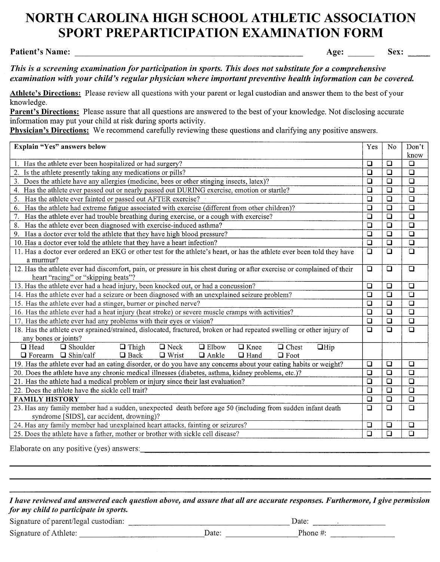## **NORTH CAROLINA HIGH SCHOOL ATHLETIC ASSOCIATION SPORT** PRE PARTICIPATION **EXAMINATION FORM**

Age: Sex:

*This is a screening examination for participation in sports. This does not substitute for a comprehensive examination with your child's regular physician where important preventive health information can be covered.*

Athlete's Directions: Please review all questions with your parent or legal custodian and answer them to the best of your knowledge.

Parent's Directions: Please assure that all questions are answered to the best of your knowledge. Not disclosing accurate information may put your child at risk during sports activity.

Physician's Directions: We recommend carefully reviewing these questions and clarifying any positive answers.

| Explain "Yes" answers below                                                                                             | Yes                  | N <sub>0</sub>         | Don't                |
|-------------------------------------------------------------------------------------------------------------------------|----------------------|------------------------|----------------------|
|                                                                                                                         | $\Box$               | $\Box$                 | know                 |
| 1. Has the athlete ever been hospitalized or had surgery?                                                               |                      |                        | $\Box$               |
| 2. Is the athlete presently taking any medications or pills?                                                            | $\Box$               | $\Box$                 | $\overline{\square}$ |
| 3. Does the athlete have any allergies (medicine, bees or other stinging insects, latex)?                               | $\Box$               | $\Box$                 | $\Box$               |
| 4. Has the athlete ever passed out or nearly passed out DURING exercise, emotion or startle?                            | $\Box$               | $\Box$                 | $\overline{\square}$ |
| Has the athlete ever fainted or passed out AFTER exercise?<br>5.                                                        | $\Box$               | $\Box$                 | $\Box$               |
| Has the athlete had extreme fatigue associated with exercise (different from other children)?<br>6.                     | $\Box$               | $\Box$                 | $\Box$               |
| Has the athlete ever had trouble breathing during exercise, or a cough with exercise?<br>7.                             | $\Box$               | $\Box$                 | $\overline{\square}$ |
| Has the athlete ever been diagnosed with exercise-induced asthma?<br>8.                                                 | $\Box$               | $\boxed{\blacksquare}$ | $\overline{\square}$ |
| 9. Has a doctor ever told the athlete that they have high blood pressure?                                               | $\Box$               | $\overline{\square}$   | $\overline{\Box}$    |
| 10. Has a doctor ever told the athlete that they have a heart infection?                                                | $\overline{\square}$ | $\overline{\square}$   | $\overline{\square}$ |
| 11. Has a doctor ever ordered an EKG or other test for the athlete's heart, or has the athlete ever been told they have | $\Box$               | $\Box$                 | $\overline{\square}$ |
| a murmur?                                                                                                               |                      |                        |                      |
| 12. Has the athlete ever had discomfort, pain, or pressure in his chest during or after exercise or complained of their | $\Box$               | $\Box$                 | $\Box$               |
| heart "racing" or "skipping beats"?                                                                                     |                      |                        |                      |
| 13. Has the athlete ever had a head injury, been knocked out, or had a concussion?                                      |                      |                        | $\overline{\square}$ |
| 14. Has the athlete ever had a seizure or been diagnosed with an unexplained seizure problem?                           |                      |                        | $\overline{\square}$ |
| 15. Has the athlete ever had a stinger, burner or pinched nerve?                                                        |                      |                        | $\Box$               |
| 16. Has the athlete ever had a heat injury (heat stroke) or severe muscle cramps with activities?                       |                      |                        | $\overline{\square}$ |
| 17. Has the athlete ever had any problems with their eyes or vision?                                                    |                      |                        | $\Box$               |
| 18. Has the athlete ever sprained/strained, dislocated, fractured, broken or had repeated swelling or other injury of   |                      |                        | $\overline{\square}$ |
| any bones or joints?                                                                                                    |                      |                        |                      |
| $\Box$ Shoulder<br>$\Box$ Head<br>$\Box$ Neck<br>$\Box$ Elbow<br>$\Box$ Knee<br>$\Box$ Chest<br>$\Box$ Thigh<br>$Q$ Hip |                      |                        |                      |
| $\Box$ Forearm $\Box$ Shin/calf<br>$\Box$ Back<br>$\Box$ Wrist<br>$\Box$ Ankle<br>$\Box$ Hand<br>$\Box$ Foot            |                      |                        |                      |
| 19. Has the athlete ever had an eating disorder, or do you have any concerns about your eating habits or weight?        |                      |                        | $\Box$               |
| 20. Does the athlete have any chronic medical illnesses (diabetes, asthma, kidney problems, etc.)?                      |                      |                        | $\overline{\square}$ |
| 21. Has the athlete had a medical problem or injury since their last evaluation?                                        |                      |                        | $\overline{a}$       |
| 22. Does the athlete have the sickle cell trait?                                                                        |                      |                        | $\overline{\square}$ |
| <b>FAMILY HISTORY</b>                                                                                                   |                      |                        | $\overline{\square}$ |
| 23. Has any family member had a sudden, unexpected death before age 50 (including from sudden infant death              |                      |                        | $\Box$               |
| syndrome [SIDS], car accident, drowning)?                                                                               |                      |                        |                      |
| 24. Has any family member had unexplained heart attacks, fainting or seizures?                                          |                      |                        | $\Box$               |
| 25. Does the athlete have a father, mother or brother with sickle cell disease?                                         |                      |                        | $\overline{\square}$ |

Elaborate on any positive (yes) answers:

I have reviewed and answered each question above, and assure that all are accurate responses. Furthermore, I give permission *for my child to participate in sports.* \_\_\_\_\_\_\_\_\_\_\_\_\_\_\_\_\_\_ Date:

| Signature of parent/legal custodian: |  |
|--------------------------------------|--|
|                                      |  |

Signature of Athlete:  $\qquad \qquad$  Date:  $\qquad \qquad$  Phone #: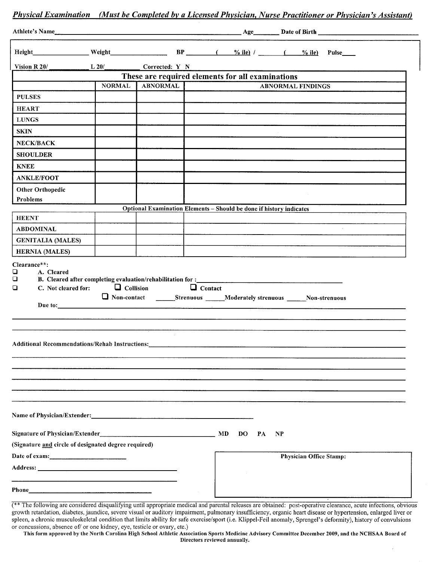|                                                      |                                  |                |                                                                     | Physical Examination (Must be Completed by a Licensed Physician, Nurse Practitioner or Physician's Assistant) |
|------------------------------------------------------|----------------------------------|----------------|---------------------------------------------------------------------|---------------------------------------------------------------------------------------------------------------|
|                                                      |                                  |                |                                                                     |                                                                                                               |
|                                                      |                                  |                |                                                                     | Height Weight Weight BP (%ile) / (%ile) Pulse                                                                 |
| Vision R 20/                                         | L 20/ Corrected: Y N             |                |                                                                     |                                                                                                               |
|                                                      |                                  |                | These are required elements for all examinations                    |                                                                                                               |
|                                                      | <b>NORMAL</b><br><b>ABNORMAL</b> |                |                                                                     | <b>ABNORMAL FINDINGS</b>                                                                                      |
| <b>PULSES</b>                                        |                                  |                |                                                                     |                                                                                                               |
| <b>HEART</b>                                         |                                  |                |                                                                     |                                                                                                               |
| <b>LUNGS</b>                                         |                                  |                |                                                                     |                                                                                                               |
| <b>SKIN</b>                                          |                                  |                |                                                                     |                                                                                                               |
| <b>NECK/BACK</b>                                     |                                  |                |                                                                     |                                                                                                               |
| <b>SHOULDER</b>                                      |                                  |                |                                                                     |                                                                                                               |
| <b>KNEE</b>                                          |                                  |                |                                                                     |                                                                                                               |
| <b>ANKLE/FOOT</b>                                    |                                  |                |                                                                     |                                                                                                               |
| <b>Other Orthopedic</b>                              |                                  |                |                                                                     |                                                                                                               |
| Problems                                             |                                  |                |                                                                     |                                                                                                               |
|                                                      |                                  |                | Optional Examination Elements - Should be done if history indicates |                                                                                                               |
| <b>HEENT</b>                                         |                                  |                |                                                                     |                                                                                                               |
| <b>ABDOMINAL</b>                                     |                                  |                |                                                                     |                                                                                                               |
| <b>GENITALIA (MALES)</b>                             |                                  |                |                                                                     |                                                                                                               |
| <b>HERNIA</b> (MALES)<br>Clearance**:                |                                  |                |                                                                     |                                                                                                               |
| ❏<br>C. Not cleared for:<br>$\Box$                   | $\Box$ Collision                 | $\Box$ Contact |                                                                     | Mon-contact ______Strenuous _____Moderately strenuous _____Non-strenuous                                      |
|                                                      |                                  |                |                                                                     |                                                                                                               |
|                                                      |                                  |                |                                                                     |                                                                                                               |
| Additional Recommendations/Rehab Instructions:       |                                  |                |                                                                     |                                                                                                               |
|                                                      |                                  |                |                                                                     |                                                                                                               |
|                                                      |                                  |                |                                                                     |                                                                                                               |
|                                                      |                                  |                |                                                                     |                                                                                                               |
|                                                      |                                  |                |                                                                     |                                                                                                               |
|                                                      |                                  |                |                                                                     |                                                                                                               |
|                                                      |                                  |                |                                                                     |                                                                                                               |
|                                                      |                                  |                | MD<br>$\mathbf{DO}$<br>PA                                           | NP                                                                                                            |
| (Signature and circle of designated degree required) |                                  |                |                                                                     |                                                                                                               |
| Date of exam:                                        |                                  |                |                                                                     | <b>Physician Office Stamp:</b>                                                                                |
|                                                      |                                  |                |                                                                     |                                                                                                               |
|                                                      |                                  |                |                                                                     |                                                                                                               |
|                                                      |                                  |                |                                                                     |                                                                                                               |

<sup>(\*\*</sup> The following are considered disqualifying until appropriate medical and parental releases are obtained: post-operative clearance, acute infections, obvious growth retardation, diabetes, jaundice, severe visual or auditory impairment, pulmonary insufficiency, organic heart disease or hypertension, enlarged liver or spleen, a chronic musculoskeletal condition that limits ability for safe exercise/sport (i.e. Klippel-Feil anomaly, Sprengel's deformity), history of convulsions or concussions, absence of/ or one kidney, eye, testicle or ovary, etc.)

This form approved by the North Carolina High School Athletic Association Sports Medicine Advisory Committee December 2009, and the NCHSAA Board of Directors reviewed annually.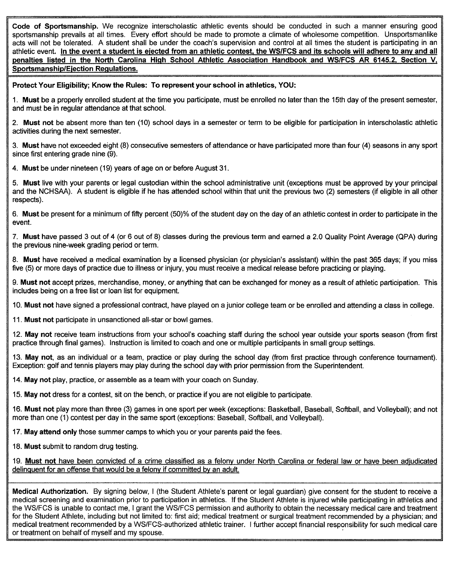Code of Sportsmanship. We recognize interscholastic athletic events should be conducted in such a manner ensuring good sportsmanship prevails at all times. Every effort should be made to promote a climate of wholesome competition. Unsportsmanlike acts will not be tolerated. A student shall be under the coach's supervision and control at all times the student is participating in an athletic event. In the event a student is ejected from an athletic contest, the WS/FCS and its schools will adhere to any and all penalties listed in the North Carolina High School Athletic Association Handbook and WS/FCS AR 6145.2, Section V, Sportsmanship/Ejection Regulations.

Protect Your Eligibility; Know the Rules: To represent your school in athletics, YOU:

1. Must be a properly enrolled student at the time you participate, must be enrolled no later than the 15th day of the present semester, and must be in regular attendance at that school.

2. Must not be absent more than ten (10) school days in a semester or term to be eligible for participation in interscholastic athletic activities during the next semester.

3. Must have not exceeded eight (8) consecutive semesters of attendance or have participated more than four (4) seasons in any sport since first entering grade nine (9).

4. Must be under nineteen (19) years of age on or before August 31.

5. Must live with your parents or legal custodian within the school administrative unit (exceptions must be approved by your principal and the NCHSAA). A student is eligible if he has attended school within that unit the previous two (2) semesters (if eligible in all other respects).

6. Must be present for a minimum of fifty percent (50)% of the student day on the day of an athletic contest in order to participate in the event.

7. Must have passed 3 out of 4 (or 6 out of 8) classes during the previous term and earned a 2.0 Quality Point Average (QPA) during the previous nine~week grading period or term.

8. Must have received a medical examination by a licensed physician (or physician's assistant) within the past 365 days; if you miss five (5) or more days of practice due to illness or injury, you must receive a medical release before practicing or playing.

9. Must not accept prizes, merchandise, money, or anything that can be exchanged for money as a result of athletic participation. This includes being on a free list or loan list for equipment.

10. Must not have signed a professional contract, have played on a junior college team or be enrolled and attending a class in college.

11. Must not participate in unsanctioned all-star or bowl games.

12. May not receive team instructions from your school's coaching staff during the school year outside your sports season (from first practice through final games). Instruction is limited to coach and one or multiple participants in small group settings.

13. May not, as an individual or a team, practice or play during the school day (from first practice through conference tournament). Exception: golf and tennis players may play during the school day with prior permission from the Superintendent.

14. May not play, practice, or assemble as a team with your coach on Sunday.

15. May not dress for a contest, sit on the bench, or practice if you are not eligible to participate.

16. Must not play more than three (3) games in one sport per week (exceptions: Basketball, Baseball, Softball, and Volleyball); and not more than one (1) contest per day in the same sport (exceptions: Baseball, Softball, and Volleyball).

17. May attend only those summer camps to which you or your parents paid the fees.

18. Must submit to random drug testing.

19. Must not have been convicted of a crime classified as a felony under North Carolina or federal law or have been adjudicated delinquent for an offense that would be a felony if committed by an adult.

Medical Authorization. By signing below, I (the Student Athlete's parent or legal guardian) give consent for the student to receive a medical screening and examination prior to participation in athletics. If the Student Athlete is injured while participating in athletics and the WS/FCS is unable to contact me, I grant the WS/FCS permission and authority to obtain the necessary medical care and treatment for the Student Athlete, including but not limited to: first aid; medical treatment or surgical treatment recommended by a physician; and medical treatment recommended by a WS/FCS-authorized athletic trainer. I further accept financial responsibility for such medical care or treatment on behalf of myself and my spouse. .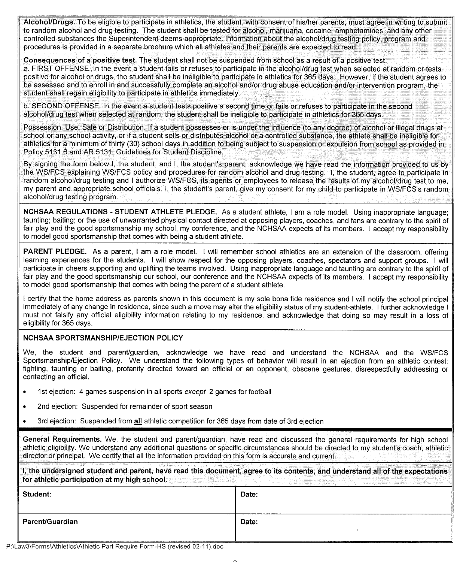Alcohol/Drugs. To be eligible to participate in athletics, the student, with consent of his/her parents, must agree in writing to submit to random alcohol and drug testing. The student shall be tested for alcohol, marijuana, cocaine, amphetamines, and any other controlled substances the Superintendent deems appropriate. Information about the alcohol/drug testing policy, program and procedures is provided in a separate brochure which all athletes and their parents are expected to read.

Consequences of a positive test. The student shall not be suspended from school as a result of a positive test. a. FIRST OFFENSE. In the event a student fails or refuses to participate in the alcohol/drug test when selected at random or tests positive for alcohol or drugs, the student shall be ineligible to participate in athletics for 365 days. However, if the student agrees to be assessed and to enroll in and successfully complete an alcohol and/or drug abuse education and/or intervention program, the student shall regain eligibility to participate in athletics immediately.

b. SECOND OFFENSE. In the event a student tests positive a second time or fails or refuses to participate in the second alcohol/drug test when selected at random, the student shall be ineligible to participate in athletics for 365 days.

Possession, Use, Sale or Distribution. If a student possesses or is under the influence (to any degree) of alcohol or illegal drugs at school or any school activity, or if a student sells or distributes alcohol or a controlled substance, the athlete shall be ineligible for athletics for a minimum of thirty (30) school days in addition to being subject to suspension or expulsion from school as provided in Policy 5131.6 and AR 5131, Guidelines for Student Discipline.

By signing the form below I, the student, and I, the student's parent, acknowledge we have read the information provided to us by the WS/FCS explaining WS/FCS policy and procedures for random alcohol and drug testing. I, the student, agree to participate in random alcohol/drug testing and I authorize WS/FCS, its agents or employees to release the results of my alcohol/drug test to me, my parent and appropriate school officials. I, the student's parent, give my consent for my child to participate in WSlFCS'srandom alcohol/drug testing program.

**NCHSAA REGULATIONS - STUDENT ATHLETE PLEDGE.** As a student athlete, I am a role model. Using inappropriate language; taunting; baiting; or the use of unwarranted physical contact directed at opposing players, coaches, and fans are contrary to the spirit of fair play and the good sportsmanship my school, my conference, and the NCHSAA expects of its members. I accept my responsibility to model good sportsmanship that comes with being a student athlete.

**PARENT PLEDGE.** As a parent, I am a role model. I will remember school athletics are an extension of the classroom, offering learning experiences for the students. I will show respect for the opposing players, coaches, spectators and support groups. I will participate in cheers supporting and uplifting the teams involved. Using inappropriate language and taunting are contrary to the spirit of fair play and the good sportsmanship our school, our conference and the NCHSAA expects of its members. I accept my responsibility to model good sportsmanship that comes with being the parent of a student athlete.

I certify that the home address as parents shown in this document is my sole bona fide residence and I will notify the school principal immediately of any change in residence, since such a move may alter the eligibility status of my student-athlete. I further acknowledge I must not falsify any official eligibility information relating to my residence, and acknowledge that doing so may result in a loss of eligibility for 365 days.

## **NCHSAA SPORTSMANSHIPlEJECTION POLICY**

We, the student and parent/guardian, acknowledge we have read and understand the NCHSAA and the WSlFCS Sportsmanship/Ejection Policy. We understand the following types of behavior will result in an ejection from an athletic contest: fighting, taunting or baiting, profanity directed toward an official or an opponent, obscene gestures, disrespectfully addressing or contacting an official.

- 1st ejection: 4 games suspension in all sports *except* 2 games for football
- 2nd ejection: Suspended for remainder of sport season
- 3rd ejection: Suspended from **all** athletic competition for 365 days from date of 3rd ejection

**General Requirements.** We, the student and parent/guardian, have read and discussed the athletic eligibility. We understand any additional questions or specific circumstances should be directed to my student's coach, athletic director or principal. We certify that all the information provided on this form is accurate and current.

|                                               |  |  | I, the undersigned student and parent, have read this document, agree to its contents, and understand all of the expectations |
|-----------------------------------------------|--|--|-------------------------------------------------------------------------------------------------------------------------------|
| for athletic participation at my high school. |  |  |                                                                                                                               |

| Student:        | Date: |
|-----------------|-------|
| Parent/Guardian | Date: |